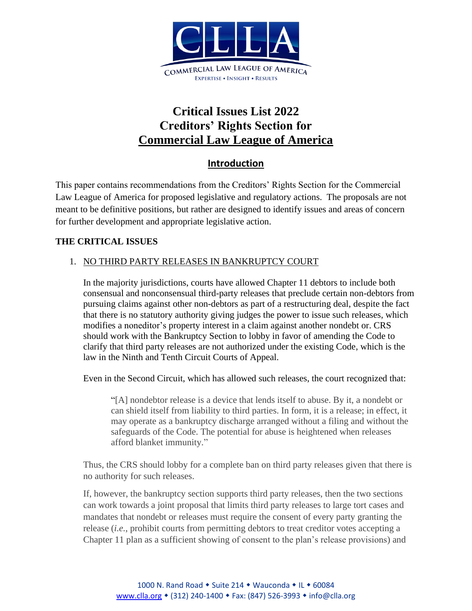

# **Critical Issues List 2022 Creditors' Rights Section for Commercial Law League of America**

# **Introduction**

This paper contains recommendations from the Creditors' Rights Section for the Commercial Law League of America for proposed legislative and regulatory actions. The proposals are not meant to be definitive positions, but rather are designed to identify issues and areas of concern for further development and appropriate legislative action.

# **THE CRITICAL ISSUES**

# 1. NO THIRD PARTY RELEASES IN BANKRUPTCY COURT

In the majority jurisdictions, courts have allowed Chapter 11 debtors to include both consensual and nonconsensual third-party releases that preclude certain non-debtors from pursuing claims against other non-debtors as part of a restructuring deal, despite the fact that there is no statutory authority giving judges the power to issue such releases, which modifies a noneditor's property interest in a claim against another nondebt or. CRS should work with the Bankruptcy Section to lobby in favor of amending the Code to clarify that third party releases are not authorized under the existing Code, which is the law in the Ninth and Tenth Circuit Courts of Appeal.

Even in the Second Circuit, which has allowed such releases, the court recognized that:

"[A] nondebtor release is a device that lends itself to abuse. By it, a nondebt or can shield itself from liability to third parties. In form, it is a release; in effect, it may operate as a bankruptcy discharge arranged without a filing and without the safeguards of the Code. The potential for abuse is heightened when releases afford blanket immunity."

Thus, the CRS should lobby for a complete ban on third party releases given that there is no authority for such releases.

If, however, the bankruptcy section supports third party releases, then the two sections can work towards a joint proposal that limits third party releases to large tort cases and mandates that nondebt or releases must require the consent of every party granting the release (*i.e.*, prohibit courts from permitting debtors to treat creditor votes accepting a Chapter 11 plan as a sufficient showing of consent to the plan's release provisions) and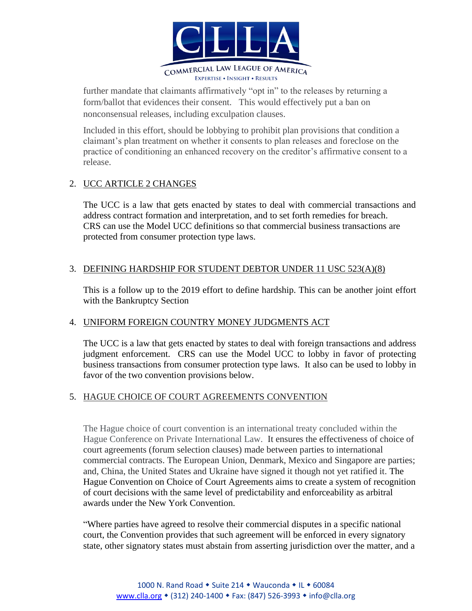

further mandate that claimants affirmatively "opt in" to the releases by returning a form/ballot that evidences their consent. This would effectively put a ban on nonconsensual releases, including exculpation clauses.

Included in this effort, should be lobbying to prohibit plan provisions that condition a claimant's plan treatment on whether it consents to plan releases and foreclose on the practice of conditioning an enhanced recovery on the creditor's affirmative consent to a release.

## 2. UCC ARTICLE 2 CHANGES

The UCC is a law that gets enacted by states to deal with commercial transactions and address contract formation and interpretation, and to set forth remedies for breach. CRS can use the Model UCC definitions so that commercial business transactions are protected from consumer protection type laws.

#### 3. DEFINING HARDSHIP FOR STUDENT DEBTOR UNDER 11 USC 523(A)(8)

This is a follow up to the 2019 effort to define hardship. This can be another joint effort with the Bankruptcy Section

## 4. UNIFORM FOREIGN COUNTRY MONEY JUDGMENTS ACT

The UCC is a law that gets enacted by states to deal with foreign transactions and address judgment enforcement. CRS can use the Model UCC to lobby in favor of protecting business transactions from consumer protection type laws. It also can be used to lobby in favor of the two convention provisions below.

#### 5. HAGUE CHOICE OF COURT AGREEMENTS CONVENTION

The Hague choice of court convention is an international treaty concluded within the Hague Conference on Private International Law. It ensures the effectiveness of choice of court agreements (forum selection clauses) made between parties to international commercial contracts. The European Union, Denmark, Mexico and Singapore are parties; and, China, the United States and Ukraine have signed it though not yet ratified it. The Hague Convention on Choice of Court Agreements aims to create a system of recognition of court decisions with the same level of predictability and enforceability as arbitral awards under the New York Convention.

"Where parties have agreed to resolve their commercial disputes in a specific national court, the Convention provides that such agreement will be enforced in every signatory state, other signatory states must abstain from asserting jurisdiction over the matter, and a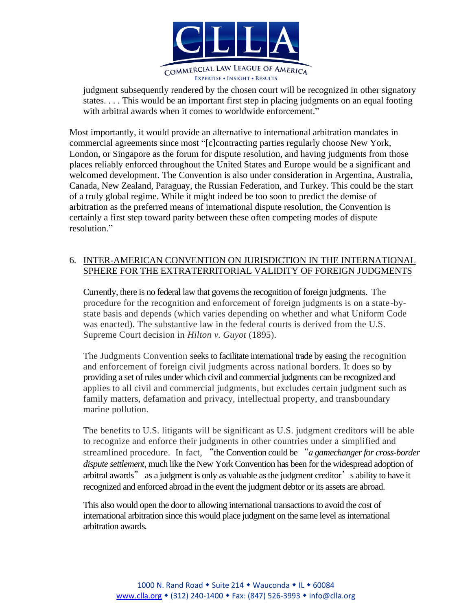

judgment subsequently rendered by the chosen court will be recognized in other signatory states. . . . This would be an important first step in placing judgments on an equal footing with arbitral awards when it comes to worldwide enforcement."

Most importantly, it would provide an alternative to international arbitration mandates in commercial agreements since most "[c]contracting parties regularly choose New York, London, or Singapore as the forum for dispute resolution, and having judgments from those places reliably enforced throughout the United States and Europe would be a significant and welcomed development. The Convention is also under consideration in Argentina, Australia, Canada, New Zealand, Paraguay, the Russian Federation, and Turkey. This could be the start of a truly global regime. While it might indeed be too soon to predict the demise of arbitration as the preferred means of international dispute resolution, the Convention is certainly a first step toward parity between these often competing modes of dispute resolution."

## 6. INTER-AMERICAN CONVENTION ON JURISDICTION IN THE INTERNATIONAL SPHERE FOR THE EXTRATERRITORIAL VALIDITY OF FOREIGN JUDGMENTS

Currently, there is no federal law that governs the recognition of foreign judgments. The procedure for the recognition and enforcement of foreign judgments is on a state-bystate basis and depends (which varies depending on whether and what Uniform Code was enacted). The substantive law in the federal courts is derived from the U.S. Supreme Court decision in *Hilton v. Guyot* (1895).

The Judgments Convention seeks to facilitate international trade by easing the recognition and enforcement of foreign civil judgments across national borders. It does so by providing a set of rules under which civil and commercial judgments can be recognized and applies to all civil and commercial judgments, but excludes certain judgment such as family matters, defamation and privacy, intellectual property, and transboundary marine pollution.

The benefits to U.S. litigants will be significant as U.S. judgment creditors will be able to recognize and enforce their judgments in other countries under a simplified and streamlined procedure. In fact, "the Convention could be "*a gamechanger for cross-border dispute settlement*, much like the New York Convention has been for the widespread adoption of arbitral awards" as a judgment is only as valuable as the judgment creditor's ability to have it recognized and enforced abroad in the event the judgment debtor or its assets are abroad.

This also would open the door to allowing international transactions to avoid the cost of international arbitration since this would place judgment on the same level as international arbitration awards.